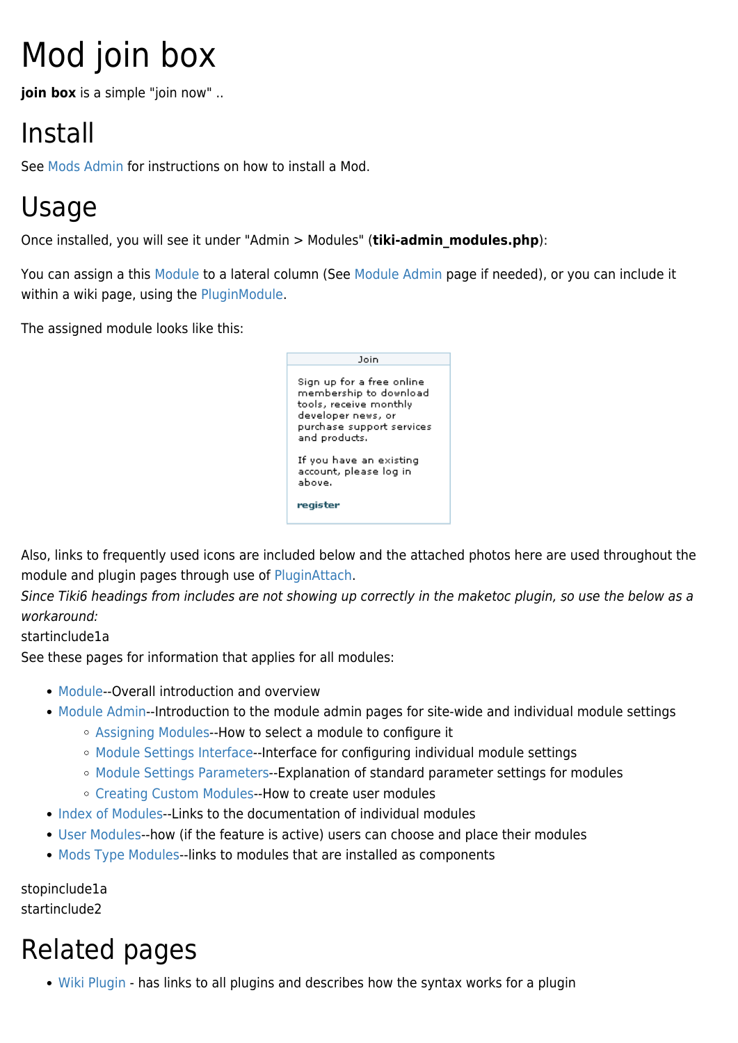# Mod join box

**join box** is a simple "join now" ..

## Install

See [Mods Admin](https://doc.tiki.org/Mods-Admin) for instructions on how to install a Mod.

#### Usage

Once installed, you will see it under "Admin > Modules" (**tiki-admin\_modules.php**):

You can assign a this [Module](https://doc.tiki.org/Module) to a lateral column (See [Module Admin](https://doc.tiki.org/Module-Admin) page if needed), or you can include it within a wiki page, using the [PluginModule](https://doc.tiki.org/PluginModule).

The assigned module looks like this:



Also, links to frequently used icons are included below and the attached photos here are used throughout the module and plugin pages through use of [PluginAttach](https://doc.tiki.org/PluginAttach).

Since Tiki6 headings from includes are not showing up correctly in the maketoc plugin, so use the below as a workaround:

startinclude1a

See these pages for information that applies for all modules:

- [Module](https://doc.tiki.org/Module)--Overall introduction and overview
- [Module Admin-](https://doc.tiki.org/Module-Admin)-Introduction to the module admin pages for site-wide and individual module settings
	- [Assigning Modules](https://doc.tiki.org/Assigning-Modules)--How to select a module to configure it
	- [Module Settings Interface](https://doc.tiki.org/Module-Settings-Interface)--Interface for configuring individual module settings
	- [Module Settings Parameters](https://doc.tiki.org/Module-Settings-Parameters)--Explanation of standard parameter settings for modules
	- [Creating Custom Modules-](https://doc.tiki.org/Creating-Custom-Modules)-How to create user modules
- [Index of Modules](https://doc.tiki.org/Index-of-Modules)--Links to the documentation of individual modules
- [User Modules-](https://doc.tiki.org/User-Modules)-how (if the feature is active) users can choose and place their modules
- [Mods Type Modules-](https://doc.tiki.org/Mods-Type-Modules)-links to modules that are installed as components

stopinclude1a startinclude2

### Related pages

• [Wiki Plugin](https://doc.tiki.org/Wiki%20Plugin) - has links to all plugins and describes how the syntax works for a plugin